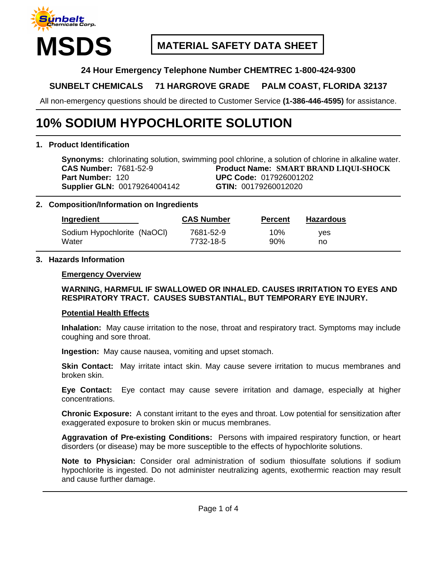

## **MATERIAL SAFETY DATA SHEET**

## **24 Hour Emergency Telephone Number CHEMTREC 1-800-424-9300**

## **SUNBELT CHEMICALS 71 HARGROVE GRADE PALM COAST, FLORIDA 32137**

All non-emergency questions should be directed to Customer Service **(1-386-446-4595)** for assistance.

# **10% SODIUM HYPOCHLORITE SOLUTION**

## **1. Product Identification**

**Synonyms:** chlorinating solution, swimming pool chlorine, a solution of chlorine in alkaline water. **CAS Number:** 7681-52-9 **Product Name: SMART BRAND LIQUI-SHOCK Part Number:** 120 **UPC Code:** 017926001202 **Supplier GLN:** 00179264004142 **GTIN:** 00179260012020

## **2. Composition/Information on Ingredients**

| Ingredient                  | <b>CAS Number</b> | <b>Percent</b> | <b>Hazardous</b> |
|-----------------------------|-------------------|----------------|------------------|
| Sodium Hypochlorite (NaOCI) | 7681-52-9         | $10\%$         | ves              |
| Water                       | 7732-18-5         | 90%            | no               |

#### **3. Hazards Information**

#### **Emergency Overview**

## **WARNING, HARMFUL IF SWALLOWED OR INHALED. CAUSES IRRITATION TO EYES AND RESPIRATORY TRACT. CAUSES SUBSTANTIAL, BUT TEMPORARY EYE INJURY.**

#### **Potential Health Effects**

**Inhalation:** May cause irritation to the nose, throat and respiratory tract. Symptoms may include coughing and sore throat.

**Ingestion:** May cause nausea, vomiting and upset stomach.

**Skin Contact:** May irritate intact skin. May cause severe irritation to mucus membranes and broken skin.

**Eye Contact:** Eye contact may cause severe irritation and damage, especially at higher concentrations.

**Chronic Exposure:** A constant irritant to the eyes and throat. Low potential for sensitization after exaggerated exposure to broken skin or mucus membranes.

**Aggravation of Pre-existing Conditions:** Persons with impaired respiratory function, or heart disorders (or disease) may be more susceptible to the effects of hypochlorite solutions.

**Note to Physician:** Consider oral administration of sodium thiosulfate solutions if sodium hypochlorite is ingested. Do not administer neutralizing agents, exothermic reaction may result and cause further damage.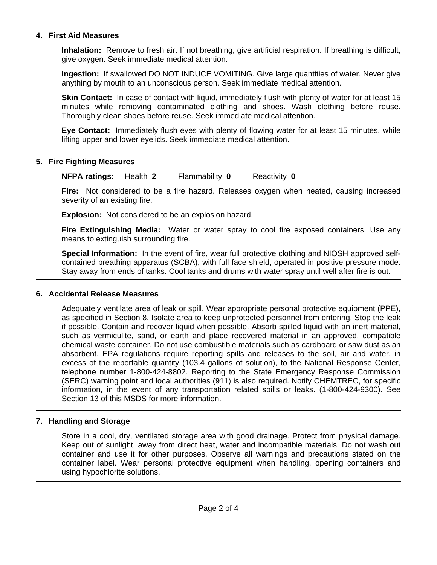## **4. First Aid Measures**

**Inhalation:** Remove to fresh air. If not breathing, give artificial respiration. If breathing is difficult, give oxygen. Seek immediate medical attention.

**Ingestion:** If swallowed DO NOT INDUCE VOMITING. Give large quantities of water. Never give anything by mouth to an unconscious person. Seek immediate medical attention.

**Skin Contact:** In case of contact with liquid, immediately flush with plenty of water for at least 15 minutes while removing contaminated clothing and shoes. Wash clothing before reuse. Thoroughly clean shoes before reuse. Seek immediate medical attention.

**Eye Contact:** Immediately flush eyes with plenty of flowing water for at least 15 minutes, while lifting upper and lower eyelids. Seek immediate medical attention.

## **5. Fire Fighting Measures**

**NFPA ratings:** Health **2** Flammability **0** Reactivity **0**

**Fire:** Not considered to be a fire hazard. Releases oxygen when heated, causing increased severity of an existing fire.

**Explosion:** Not considered to be an explosion hazard.

**Fire Extinguishing Media:** Water or water spray to cool fire exposed containers. Use any means to extinguish surrounding fire.

**Special Information:** In the event of fire, wear full protective clothing and NIOSH approved selfcontained breathing apparatus (SCBA), with full face shield, operated in positive pressure mode. Stay away from ends of tanks. Cool tanks and drums with water spray until well after fire is out.

## **6. Accidental Release Measures**

Adequately ventilate area of leak or spill. Wear appropriate personal protective equipment (PPE), as specified in Section 8. Isolate area to keep unprotected personnel from entering. Stop the leak if possible. Contain and recover liquid when possible. Absorb spilled liquid with an inert material, such as vermiculite, sand, or earth and place recovered material in an approved, compatible chemical waste container. Do not use combustible materials such as cardboard or saw dust as an absorbent. EPA regulations require reporting spills and releases to the soil, air and water, in excess of the reportable quantity (103.4 gallons of solution), to the National Response Center, telephone number 1-800-424-8802. Reporting to the State Emergency Response Commission (SERC) warning point and local authorities (911) is also required. Notify CHEMTREC, for specific information, in the event of any transportation related spills or leaks. (1-800-424-9300). See Section 13 of this MSDS for more information.

## **7. Handling and Storage**

Store in a cool, dry, ventilated storage area with good drainage. Protect from physical damage. Keep out of sunlight, away from direct heat, water and incompatible materials. Do not wash out container and use it for other purposes. Observe all warnings and precautions stated on the container label. Wear personal protective equipment when handling, opening containers and using hypochlorite solutions.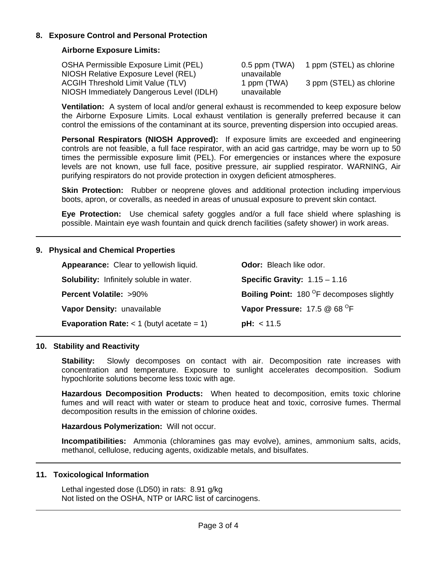## **8. Exposure Control and Personal Protection**

## **Airborne Exposure Limits:**

| OSHA Permissible Exposure Limit (PEL)    | $0.5$ ppm (TWA) | 1 ppm (STEL) as chlorine |
|------------------------------------------|-----------------|--------------------------|
| NIOSH Relative Exposure Level (REL)      | unavailable     |                          |
| <b>ACGIH Threshold Limit Value (TLV)</b> | 1 ppm (TWA)     | 3 ppm (STEL) as chlorine |
| NIOSH Immediately Dangerous Level (IDLH) | unavailable     |                          |

**Ventilation:** A system of local and/or general exhaust is recommended to keep exposure below the Airborne Exposure Limits. Local exhaust ventilation is generally preferred because it can control the emissions of the contaminant at its source, preventing dispersion into occupied areas.

**Personal Respirators (NIOSH Approved):** If exposure limits are exceeded and engineering controls are not feasible, a full face respirator, with an acid gas cartridge, may be worn up to 50 times the permissible exposure limit (PEL). For emergencies or instances where the exposure levels are not known, use full face, positive pressure, air supplied respirator. WARNING, Air purifying respirators do not provide protection in oxygen deficient atmospheres.

**Skin Protection:** Rubber or neoprene gloves and additional protection including impervious boots, apron, or coveralls, as needed in areas of unusual exposure to prevent skin contact.

**Eye Protection:** Use chemical safety goggles and/or a full face shield where splashing is possible. Maintain eye wash fountain and quick drench facilities (safety shower) in work areas.

## **9. Physical and Chemical Properties**

| Appearance: Clear to yellowish liquid.             | <b>Odor:</b> Bleach like odor.                               |
|----------------------------------------------------|--------------------------------------------------------------|
| <b>Solubility:</b> Infinitely soluble in water.    | Specific Gravity: $1.15 - 1.16$                              |
| <b>Percent Volatile: &gt;90%</b>                   | <b>Boiling Point:</b> 180 <sup>°</sup> F decomposes slightly |
| Vapor Density: unavailable                         | Vapor Pressure: $17.5 \& 68^{\circ}F$                        |
| <b>Evaporation Rate:</b> $<$ 1 (butyl acetate = 1) | pH: < 11.5                                                   |

#### **10. Stability and Reactivity**

**Stability:** Slowly decomposes on contact with air. Decomposition rate increases with concentration and temperature. Exposure to sunlight accelerates decomposition. Sodium hypochlorite solutions become less toxic with age.

**Hazardous Decomposition Products:** When heated to decomposition, emits toxic chlorine fumes and will react with water or steam to produce heat and toxic, corrosive fumes. Thermal decomposition results in the emission of chlorine oxides.

**Hazardous Polymerization:** Will not occur.

**Incompatibilities:** Ammonia (chloramines gas may evolve), amines, ammonium salts, acids, methanol, cellulose, reducing agents, oxidizable metals, and bisulfates.

## **11. Toxicological Information**

Lethal ingested dose (LD50) in rats: 8.91 g/kg Not listed on the OSHA, NTP or IARC list of carcinogens.